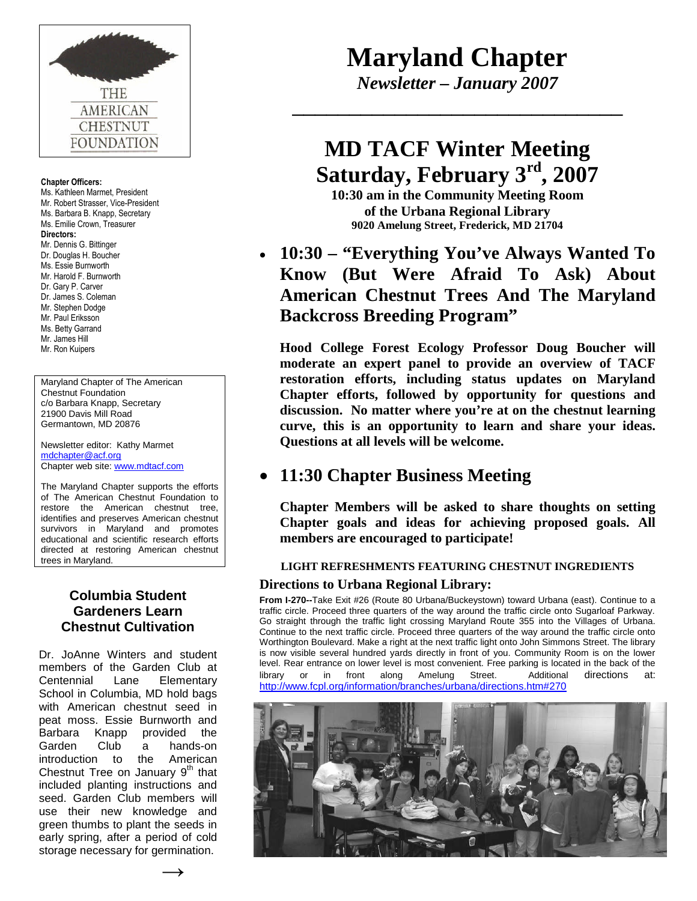

#### **Chapter Officers:**

Ms. Kathleen Marmet, President Mr. Robert Strasser, Vice-President Ms. Barbara B. Knapp, Secretary Ms. Emilie Crown, Treasurer **Directors:** Mr. Dennis G. Bittinger Dr. Douglas H. Boucher Ms. Essie Burnworth Mr. Harold F. Burnworth Dr. Gary P. Carver Dr. James S. Coleman Mr. Stephen Dodge Mr. Paul Eriksson Ms. Betty Garrand Mr. James Hill Mr. Ron Kuipers

Maryland Chapter of The American Chestnut Foundation c/o Barbara Knapp, Secretary 21900 Davis Mill Road Germantown, MD 20876

Newsletter editor: Kathy Marmet [mdchapter@acf.org](mailto:kathymarmet@hotmail.com) Chapter web site: [www.mdtacf.com](http://www.mdtacf.com/)

The Maryland Chapter supports the efforts of The American Chestnut Foundation to restore the American chestnut tree, identifies and preserves American chestnut survivors in Maryland and promotes educational and scientific research efforts directed at restoring American chestnut trees in Maryland.

## **Columbia Student Gardeners Learn Chestnut Cultivation**

Dr. JoAnne Winters and student members of the Garden Club at Centennial Lane Elementary School in Columbia, MD hold bags with American chestnut seed in peat moss. Essie Burnworth and Barbara Knapp provided the Garden Club a hands-on introduction to the American Chestnut Tree on January  $9<sup>th</sup>$  that included planting instructions and seed. Garden Club members will use their new knowledge and green thumbs to plant the seeds in early spring, after a period of cold storage necessary for germination.

# **Maryland Chapter**

*Newsletter – January 2007* \_\_\_\_\_\_\_\_\_\_\_\_\_\_\_\_\_\_\_\_\_\_\_\_\_\_\_\_\_

# **MD TACF Winter Meeting Saturday, February 3rd, 2007**

**10:30 am in the Community Meeting Room of the Urbana Regional Library 9020 Amelung Street, Frederick, MD 21704**

# **10:30 – "Everything You've Always Wanted To Know (But Were Afraid To Ask) About American Chestnut Trees And The Maryland Backcross Breeding Program"**

**Hood College Forest Ecology Professor Doug Boucher will moderate an expert panel to provide an overview of TACF restoration efforts, including status updates on Maryland Chapter efforts, followed by opportunity for questions and discussion. No matter where you're at on the chestnut learning curve, this is an opportunity to learn and share your ideas. Questions at all levels will be welcome.**

# **11:30 Chapter Business Meeting**

**Chapter Members will be asked to share thoughts on setting Chapter goals and ideas for achieving proposed goals. All members are encouraged to participate!**

#### **LIGHT REFRESHMENTS FEATURING CHESTNUT INGREDIENTS**

#### **Directions to Urbana Regional Library:**

**From I-270--**Take Exit #26 (Route 80 Urbana/Buckeystown) toward Urbana (east). Continue to a traffic circle. Proceed three quarters of the way around the traffic circle onto Sugarloaf Parkway. Go straight through the traffic light crossing Maryland Route 355 into the Villages of Urbana. Continue to the next traffic circle. Proceed three quarters of the way around the traffic circle onto Worthington Boulevard. Make a right at the next traffic light onto John Simmons Street. The library is now visible several hundred yards directly in front of you. Community Room is on the lower level. Rear entrance on lower level is most convenient. Free parking is located in the back of the library or in front along Amelung Street. Additional directions at: